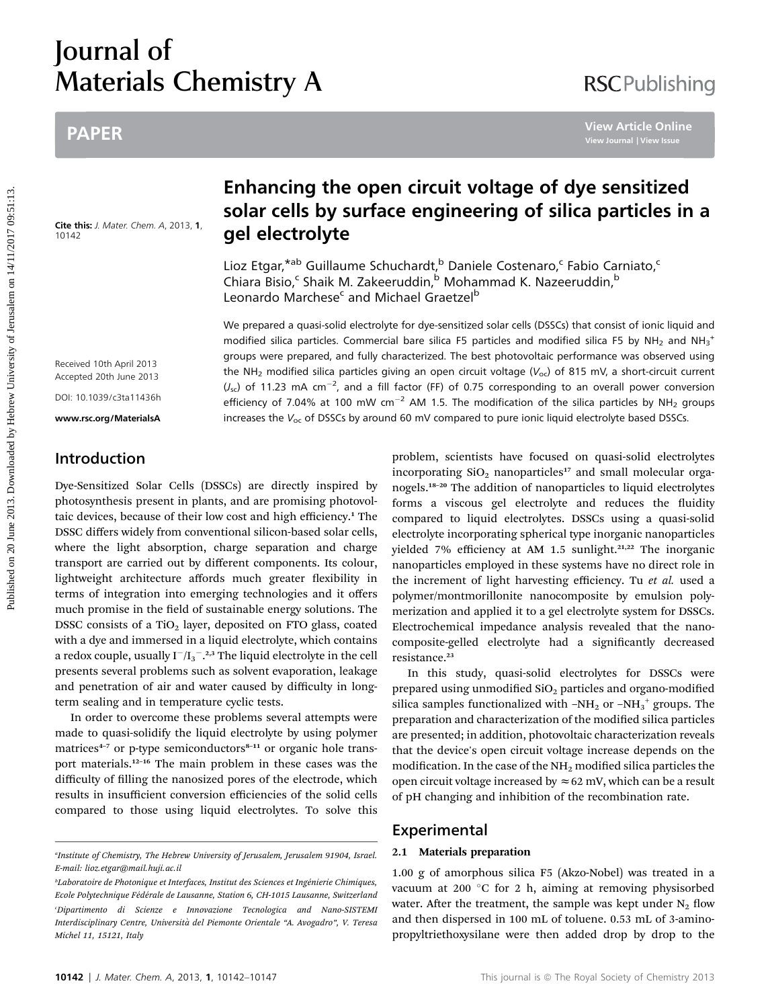# Journal of Materials Chemistry A

# PAPER

Cite this: J. Mater. Chem. A, 2013, 1, 10142

# Enhancing the open circuit voltage of dye sensitized solar cells by surface engineering of silica particles in a gel electrolyte

Lioz Etgar,<sup>\*ab</sup> Guillaume Schuchardt,<sup>b</sup> Daniele Costenaro,<sup>c</sup> Fabio Carniato,<sup>c</sup> Chiara Bisio,<sup>c</sup> Shaik M. Zakeeruddin,<sup>b</sup> Mohammad K. Nazeeruddin,<sup>b</sup> Leonardo Marchese<sup>c</sup> and Michael Graetzel<sup>b</sup>

We prepared a quasi-solid electrolyte for dye-sensitized solar cells (DSSCs) that consist of ionic liquid and modified silica particles. Commercial bare silica F5 particles and modified silica F5 by NH<sub>2</sub> and NH<sub>3</sub><sup>+</sup> groups were prepared, and fully characterized. The best photovoltaic performance was observed using the NH<sub>2</sub> modified silica particles giving an open circuit voltage ( $V_{oc}$ ) of 815 mV, a short-circuit current  $(J_{\rm sc})$  of 11.23 mA cm<sup>-2</sup>, and a fill factor (FF) of 0.75 corresponding to an overall power conversion efficiency of 7.04% at 100 mW cm<sup>-2</sup> AM 1.5. The modification of the silica particles by NH<sub>2</sub> groups increases the  $V_{\text{oc}}$  of DSSCs by around 60 mV compared to pure ionic liquid electrolyte based DSSCs. PAPER<br> **Enhancing the open circuit voltage of dye sensitized**<br>
solar cells by surface engineering of silica particles in<br>
the six state case of the six state of the six state of the six state of the six state of the six st

Received 10th April 2013 Accepted 20th June 2013

DOI: 10.1039/c3ta11436h

www.rsc.org/MaterialsA

## Introduction

Dye-Sensitized Solar Cells (DSSCs) are directly inspired by photosynthesis present in plants, and are promising photovoltaic devices, because of their low cost and high efficiency.<sup>1</sup> The DSSC differs widely from conventional silicon-based solar cells, where the light absorption, charge separation and charge transport are carried out by different components. Its colour, lightweight architecture affords much greater flexibility in terms of integration into emerging technologies and it offers much promise in the field of sustainable energy solutions. The DSSC consists of a TiO<sub>2</sub> layer, deposited on FTO glass, coated with a dye and immersed in a liquid electrolyte, which contains a redox couple, usually  $I^-/{I_3}^{-2,3}$  The liquid electrolyte in the cell presents several problems such as solvent evaporation, leakage and penetration of air and water caused by difficulty in longterm sealing and in temperature cyclic tests.

In order to overcome these problems several attempts were made to quasi-solidify the liquid electrolyte by using polymer matrices $4-7$  or p-type semiconductors $8-11$  or organic hole transport materials.<sup>12</sup>–<sup>16</sup> The main problem in these cases was the difficulty of filling the nanosized pores of the electrode, which results in insufficient conversion efficiencies of the solid cells compared to those using liquid electrolytes. To solve this

problem, scientists have focused on quasi-solid electrolytes incorporating  $SiO<sub>2</sub>$  nanoparticles<sup>17</sup> and small molecular organogels.<sup>18</sup>–<sup>20</sup> The addition of nanoparticles to liquid electrolytes forms a viscous gel electrolyte and reduces the fluidity compared to liquid electrolytes. DSSCs using a quasi-solid electrolyte incorporating spherical type inorganic nanoparticles yielded 7% efficiency at AM 1.5 sunlight.<sup>21,22</sup> The inorganic nanoparticles employed in these systems have no direct role in the increment of light harvesting efficiency. Tu et al. used a polymer/montmorillonite nanocomposite by emulsion polymerization and applied it to a gel electrolyte system for DSSCs. Electrochemical impedance analysis revealed that the nanocomposite-gelled electrolyte had a signicantly decreased resistance.<sup>23</sup>

In this study, quasi-solid electrolytes for DSSCs were prepared using unmodified  $SiO<sub>2</sub>$  particles and organo-modified silica samples functionalized with -NH<sub>2</sub> or -NH<sub>3</sub><sup>+</sup> groups. The preparation and characterization of the modified silica particles are presented; in addition, photovoltaic characterization reveals that the device's open circuit voltage increase depends on the modification. In the case of the  $NH<sub>2</sub>$  modified silica particles the open circuit voltage increased by  $\approx 62$  mV, which can be a result of pH changing and inhibition of the recombination rate.

### Experimental

#### 2.1 Materials preparation

1.00 g of amorphous silica F5 (Akzo-Nobel) was treated in a vacuum at 200 °C for 2 h, aiming at removing physisorbed water. After the treatment, the sample was kept under  $N<sub>2</sub>$  flow and then dispersed in 100 mL of toluene. 0.53 mL of 3-aminopropyltriethoxysilane were then added drop by drop to the

a Institute of Chemistry, The Hebrew University of Jerusalem, Jerusalem 91904, Israel. E-mail: lioz.etgar@mail.huji.ac.il

<sup>&</sup>lt;sup>b</sup>Laboratoire de Photonique et Interfaces, Institut des Sciences et Ingénierie Chimiques, Ecole Polytechnique Fédérale de Lausanne, Station 6, CH-1015 Lausanne, Switzerland c Dipartimento di Scienze e Innovazione Tecnologica and Nano-SISTEMI Interdisciplinary Centre, Universita del Piemonte Orientale ` "A. Avogadro", V. Teresa Michel 11, 15121, Italy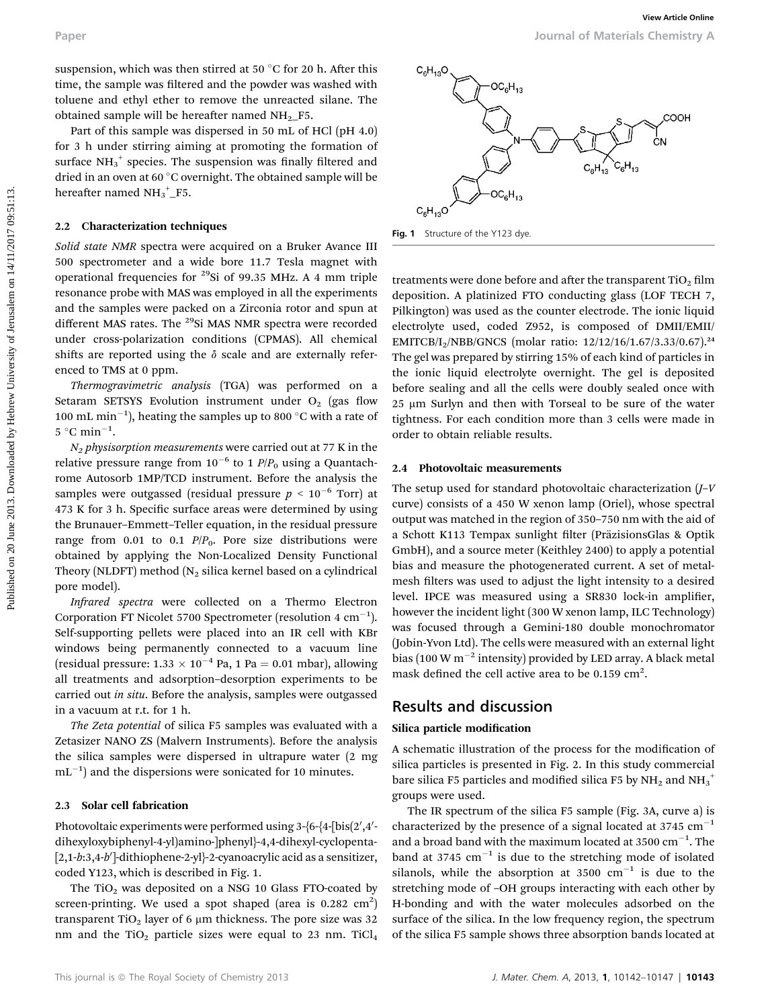suspension, which was then stirred at 50  $\degree$ C for 20 h. After this time, the sample was filtered and the powder was washed with toluene and ethyl ether to remove the unreacted silane. The obtained sample will be hereafter named  $NH<sub>2</sub>$  F5.

Part of this sample was dispersed in 50 mL of HCl (pH 4.0) for 3 h under stirring aiming at promoting the formation of surface  $NH_3^+$  species. The suspension was finally filtered and dried in an oven at 60 °C overnight. The obtained sample will be hereafter named  $NH_3^+$ <sub>-F5</sub>.

#### 2.2 Characterization techniques

Solid state NMR spectra were acquired on a Bruker Avance III 500 spectrometer and a wide bore 11.7 Tesla magnet with operational frequencies for 29Si of 99.35 MHz. A 4 mm triple resonance probe with MAS was employed in all the experiments and the samples were packed on a Zirconia rotor and spun at different MAS rates. The <sup>29</sup>Si MAS NMR spectra were recorded under cross-polarization conditions (CPMAS). All chemical shifts are reported using the  $\delta$  scale and are externally referenced to TMS at 0 ppm.

Thermogravimetric analysis (TGA) was performed on a Setaram SETSYS Evolution instrument under  $O<sub>2</sub>$  (gas flow 100 mL min<sup>-1</sup>), heating the samples up to 800 °C with a rate of  $5^{\circ}$ C min<sup>-1</sup>.

 $N_2$  physisorption measurements were carried out at 77 K in the relative pressure range from  $10^{-6}$  to 1  $P/P<sub>0</sub>$  using a Quantachrome Autosorb 1MP/TCD instrument. Before the analysis the samples were outgassed (residual pressure  $p < 10^{-6}$  Torr) at 473 K for 3 h. Specific surface areas were determined by using the Brunauer–Emmett–Teller equation, in the residual pressure range from 0.01 to 0.1  $P/P_0$ . Pore size distributions were obtained by applying the Non-Localized Density Functional Theory (NLDFT) method  $(N_2)$  silica kernel based on a cylindrical pore model).

Infrared spectra were collected on a Thermo Electron Corporation FT Nicolet 5700 Spectrometer (resolution 4  $\text{cm}^{-1}$ ). Self-supporting pellets were placed into an IR cell with KBr windows being permanently connected to a vacuum line (residual pressure:  $1.33 \times 10^{-4}$  Pa, 1 Pa = 0.01 mbar), allowing all treatments and adsorption–desorption experiments to be carried out in situ. Before the analysis, samples were outgassed in a vacuum at r.t. for 1 h.

The Zeta potential of silica F5 samples was evaluated with a Zetasizer NANO ZS (Malvern Instruments). Before the analysis the silica samples were dispersed in ultrapure water (2 mg  $mL^{-1}$ ) and the dispersions were sonicated for 10 minutes.

#### 2.3 Solar cell fabrication

Photovoltaic experiments were performed using 3-{6-{4-[bis(2',4'-  $\,$ dihexyloxybiphenyl-4-yl)amino-]phenyl}-4,4-dihexyl-cyclopenta-  $\left[ 2,1 \hbox{-} b \hbox{-} 3,4 \hbox{-} b' \right]$ -dithiophene-2-yl}-2-cyanoacrylic acid as a sensitizer, coded Y123, which is described in Fig. 1.

The TiO<sub>2</sub> was deposited on a NSG 10 Glass FTO-coated by screen-printing. We used a spot shaped (area is  $0.282 \text{ cm}^2$ ) transparent TiO<sub>2</sub> layer of 6  $\mu$ m thickness. The pore size was 32 nm and the TiO<sub>2</sub> particle sizes were equal to 23 nm. TiCl<sub>4</sub>





Fig. 1 Structure of the Y123 dye

treatments were done before and after the transparent  $TiO<sub>2</sub> film$ deposition. A platinized FTO conducting glass (LOF TECH 7, Pilkington) was used as the counter electrode. The ionic liquid electrolyte used, coded Z952, is composed of DMII/EMII/ EMITCB/I<sub>2</sub>/NBB/GNCS (molar ratio:  $12/12/16/1.67/3.33/0.67$ ).<sup>24</sup> The gel was prepared by stirring 15% of each kind of particles in the ionic liquid electrolyte overnight. The gel is deposited before sealing and all the cells were doubly sealed once with 25 µm Surlyn and then with Torseal to be sure of the water tightness. For each condition more than 3 cells were made in order to obtain reliable results. Paper<br> **Example 2018.** Some of Materials Chemistry Association and the second of the second by Hebrew University of Alticle Chemistron and Orientation and Orientation and Distribution and Chemistron and State present we a

#### 2.4 Photovoltaic measurements

The setup used for standard photovoltaic characterization (J–V curve) consists of a 450 W xenon lamp (Oriel), whose spectral output was matched in the region of 350–750 nm with the aid of a Schott K113 Tempax sunlight filter (PräzisionsGlas & Optik GmbH), and a source meter (Keithley 2400) to apply a potential bias and measure the photogenerated current. A set of metalmesh filters was used to adjust the light intensity to a desired level. IPCE was measured using a SR830 lock-in amplifier, however the incident light (300 W xenon lamp, ILC Technology) was focused through a Gemini-180 double monochromator (Jobin-Yvon Ltd). The cells were measured with an external light bias (100 W  $m^{-2}$  intensity) provided by LED array. A black metal mask defined the cell active area to be  $0.159$  cm<sup>2</sup>.

#### Results and discussion

#### Silica particle modification

A schematic illustration of the process for the modification of silica particles is presented in Fig. 2. In this study commercial bare silica F5 particles and modified silica F5 by  $\mathrm{NH}_2$  and  $\mathrm{NH}_3^+$ groups were used.

The IR spectrum of the silica F5 sample (Fig. 3A, curve a) is characterized by the presence of a signal located at  $3745 \text{ cm}^{-1}$ and a broad band with the maximum located at 3500  $\mathrm{cm}^{-1}$ . The band at 3745  $cm^{-1}$  is due to the stretching mode of isolated silanols, while the absorption at 3500  $cm^{-1}$  is due to the stretching mode of –OH groups interacting with each other by H-bonding and with the water molecules adsorbed on the surface of the silica. In the low frequency region, the spectrum of the silica F5 sample shows three absorption bands located at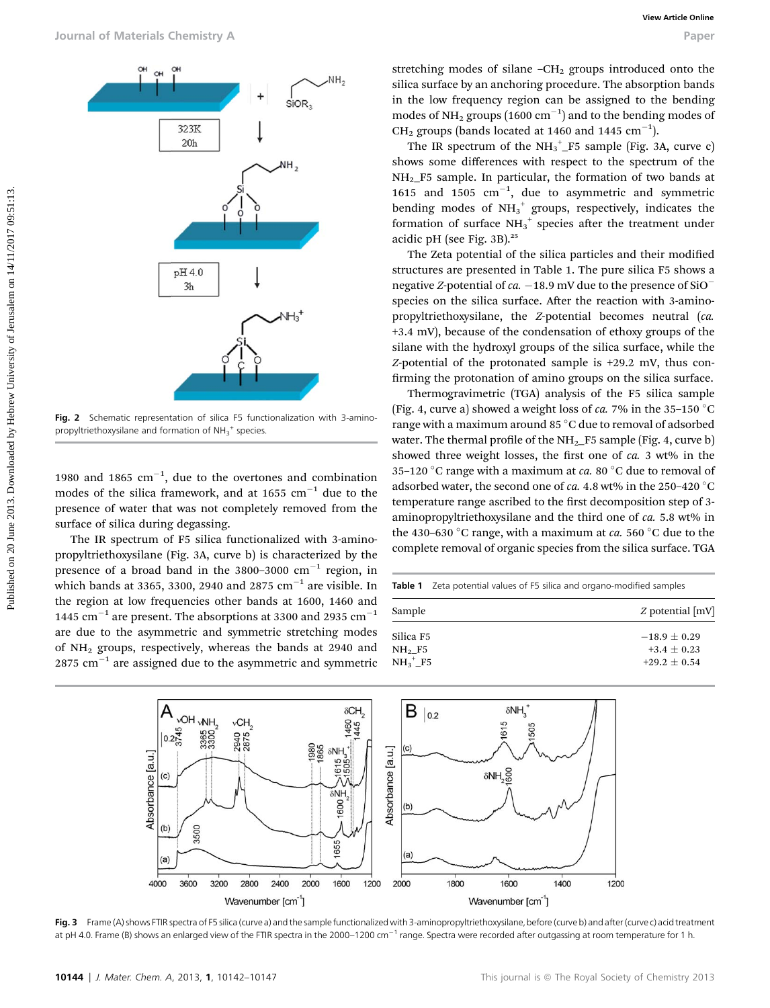

Fig. 2 Schematic representation of silica F5 functionalization with 3-aminopropyltriethoxysilane and formation of  $NH_3^+$  species.

1980 and 1865  $cm^{-1}$ , due to the overtones and combination modes of the silica framework, and at 1655  $cm^{-1}$  due to the presence of water that was not completely removed from the surface of silica during degassing.

The IR spectrum of F5 silica functionalized with 3-aminopropyltriethoxysilane (Fig. 3A, curve b) is characterized by the presence of a broad band in the  $3800-3000$  cm<sup>-1</sup> region, in which bands at 3365, 3300, 2940 and 2875  $cm^{-1}$  are visible. In the region at low frequencies other bands at 1600, 1460 and 1445 cm<sup>-1</sup> are present. The absorptions at 3300 and 2935 cm<sup>-1</sup> are due to the asymmetric and symmetric stretching modes of NH2 groups, respectively, whereas the bands at 2940 and  $2875$  cm<sup>-1</sup> are assigned due to the asymmetric and symmetric

stretching modes of silane  $-CH<sub>2</sub>$  groups introduced onto the silica surface by an anchoring procedure. The absorption bands in the low frequency region can be assigned to the bending modes of NH<sub>2</sub> groups  $(1600 \text{ cm}^{-1})$  and to the bending modes of CH<sub>2</sub> groups (bands located at 1460 and 1445  $\text{cm}^{-1}$ ).

The IR spectrum of the  $NH_3^+$  F5 sample (Fig. 3A, curve c) shows some differences with respect to the spectrum of the  $NH<sub>2</sub>$  F5 sample. In particular, the formation of two bands at 1615 and 1505  $cm^{-1}$ , due to asymmetric and symmetric bending modes of  $NH_3^+$  groups, respectively, indicates the formation of surface  $NH_3^+$  species after the treatment under acidic pH (see Fig. 3B).<sup>25</sup>

The Zeta potential of the silica particles and their modified structures are presented in Table 1. The pure silica F5 shows a negative Z-potential of ca.  $-18.9$  mV due to the presence of SiO<sup>-</sup> species on the silica surface. After the reaction with 3-aminopropyltriethoxysilane, the Z-potential becomes neutral (ca. +3.4 mV), because of the condensation of ethoxy groups of the silane with the hydroxyl groups of the silica surface, while the Z-potential of the protonated sample is +29.2 mV, thus con firming the protonation of amino groups on the silica surface.

Thermogravimetric (TGA) analysis of the F5 silica sample (Fig. 4, curve a) showed a weight loss of ca. 7% in the 35-150  $^{\circ}$ C range with a maximum around 85 °C due to removal of adsorbed water. The thermal profile of the  $NH_2$  F5 sample (Fig. 4, curve b) showed three weight losses, the first one of ca. 3 wt% in the 35–120 °C range with a maximum at *ca*. 80 °C due to removal of adsorbed water, the second one of ca. 4.8 wt% in the 250-420  $^{\circ}$ C temperature range ascribed to the first decomposition step of 3aminopropyltriethoxysilane and the third one of ca. 5.8 wt% in the 430–630 °C range, with a maximum at  $ca. 560$  °C due to the complete removal of organic species from the silica surface. TGA

| <b>Table 1</b> Zeta potential values of F5 silica and organo-modified samples |                                                   |  |  |  |  |
|-------------------------------------------------------------------------------|---------------------------------------------------|--|--|--|--|
| Sample                                                                        | $Z$ potential $[mV]$                              |  |  |  |  |
| Silica F5<br>$NH2$ F5<br>$NH3+ F5$                                            | $-18.9 + 0.29$<br>$+3.4 + 0.23$<br>$+29.2 + 0.54$ |  |  |  |  |
|                                                                               |                                                   |  |  |  |  |

![](_page_2_Figure_10.jpeg)

Fig. 3 Frame (A) shows FTIR spectra of F5 silica (curve a) and the sample functionalized with 3-aminopropyltriethoxysilane, before (curve b) and after (curve c) acid treatment at pH 4.0. Frame (B) shows an enlarged view of the FTIR spectra in the 2000–1200 cm<sup>-1</sup> range. Spectra were recorded after outgassing at room temperature for 1 h.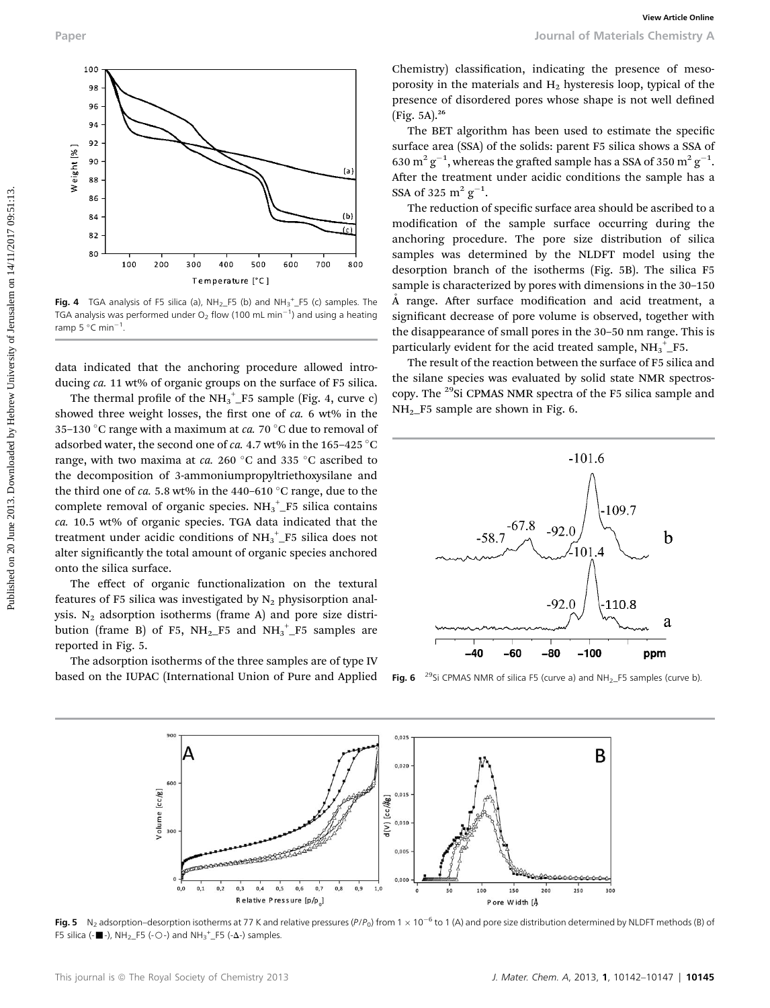![](_page_3_Figure_1.jpeg)

Fig. 4 TGA analysis of F5 silica (a),  $NH_2_F5$  (b) and  $NH_3^{\text{+}}\_F5$  (c) samples. The TGA analysis was performed under O<sub>2</sub> flow (100 mL min<sup>-1</sup>) and using a heating ramp 5  $^{\circ}$ C min $^{-1}$ .

data indicated that the anchoring procedure allowed introducing ca. 11 wt% of organic groups on the surface of F5 silica.

The thermal profile of the  $NH_3^+$  F5 sample (Fig. 4, curve c) showed three weight losses, the first one of  $ca$ . 6 wt% in the 35–130 °C range with a maximum at *ca*. 70 °C due to removal of adsorbed water, the second one of ca. 4.7 wt% in the 165-425  $^{\circ}$ C range, with two maxima at ca. 260 °C and 335 °C ascribed to the decomposition of 3-ammoniumpropyltriethoxysilane and the third one of ca. 5.8 wt% in the 440–610 °C range, due to the complete removal of organic species.  $NH_3^+$  F5 silica contains ca. 10.5 wt% of organic species. TGA data indicated that the treatment under acidic conditions of  $\mathrm{NH_3}^+$  F5 silica does not alter significantly the total amount of organic species anchored onto the silica surface.

The effect of organic functionalization on the textural features of F5 silica was investigated by  $N_2$  physisorption analysis.  $N_2$  adsorption isotherms (frame A) and pore size distribution (frame B) of F5,  $NH_2$  F5 and  $NH_3^+$  F5 samples are reported in Fig. 5.

The adsorption isotherms of the three samples are of type IV based on the IUPAC (International Union of Pure and Applied Chemistry) classification, indicating the presence of mesoporosity in the materials and  $H<sub>2</sub>$  hysteresis loop, typical of the presence of disordered pores whose shape is not well defined (Fig. 5A).<sup>26</sup>

The BET algorithm has been used to estimate the specific surface area (SSA) of the solids: parent F5 silica shows a SSA of 630  $\mathrm{m^2\,g^{-1}}$ , whereas the grafted sample has a SSA of 350  $\mathrm{m^2\,g^{-1}}$ . After the treatment under acidic conditions the sample has a SSA of 325  $\mathrm{m^2\,g^{-1}}$ .

The reduction of specific surface area should be ascribed to a modification of the sample surface occurring during the anchoring procedure. The pore size distribution of silica samples was determined by the NLDFT model using the desorption branch of the isotherms (Fig. 5B). The silica F5 sample is characterized by pores with dimensions in the 30–150 A range. After surface modification and acid treatment, a significant decrease of pore volume is observed, together with the disappearance of small pores in the 30–50 nm range. This is particularly evident for the acid treated sample,  $\mathrm{NH_3}^+_- \mathrm{F5}.$ 

The result of the reaction between the surface of F5 silica and the silane species was evaluated by solid state NMR spectroscopy. The <sup>29</sup>Si CPMAS NMR spectra of the F5 silica sample and  $NH<sub>2</sub>$ F5 sample are shown in Fig. 6.

![](_page_3_Figure_12.jpeg)

Fig. 6  $^{29}$ Si CPMAS NMR of silica F5 (curve a) and NH<sub>2</sub>\_F5 samples (curve b)

![](_page_3_Figure_14.jpeg)

Fig. 5 N<sub>2</sub> adsorption–desorption isotherms at 77 K and relative pressures (P/P<sub>0</sub>) from 1  $\times$  10<sup>-6</sup> to 1 (A) and pore size distribution determined by NLDFT methods (B) of F5 silica (- $\blacksquare$ -), NH<sub>2</sub>\_F5 (-O-) and NH<sub>3</sub><sup>+</sup>\_F5 (- $\Delta$ -) samples.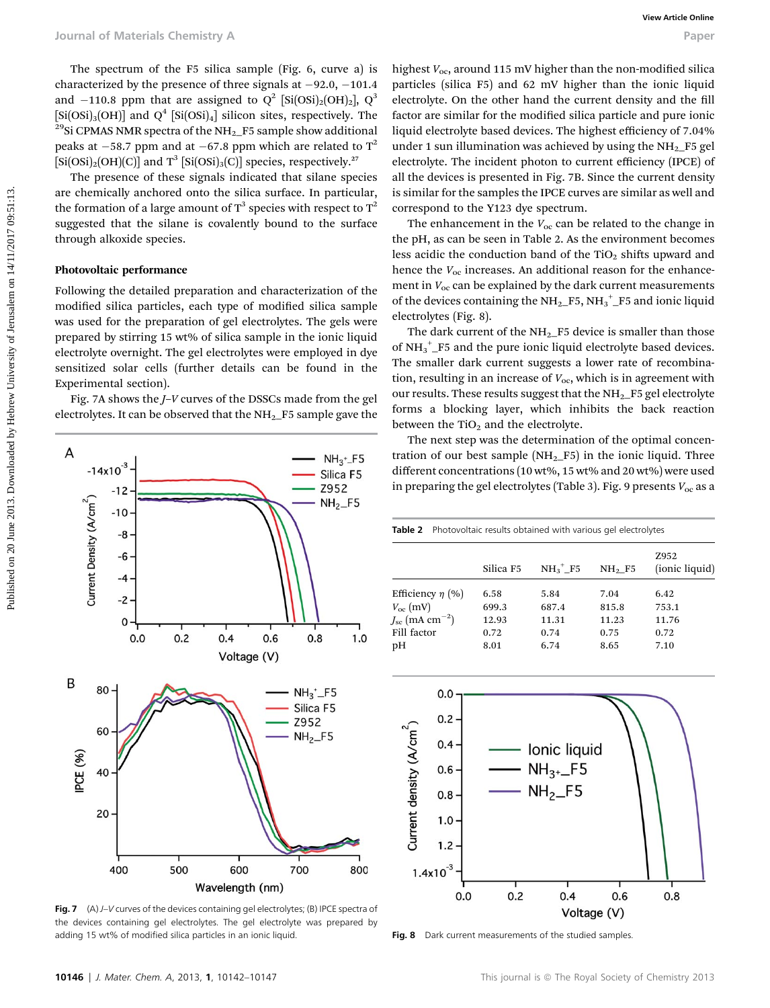The spectrum of the F5 silica sample (Fig. 6, curve a) is characterized by the presence of three signals at  $-92.0, -101.4$ and -110.8 ppm that are assigned to  $Q^2$  [Si(OSi)<sub>2</sub>[OH)<sub>2</sub>],  $Q^3$ <br>[Si(OSi)<sub>3</sub>[OH)] and  $Q^4$  [Si(OSi)<sub>4</sub>] silicon sites, respectively. The <sup>29</sup>Si CPMAS NMR spectra of the NH<sub>2</sub>\_F5 sample show additional peaks at  $-58.7$  ppm and at  $-67.8$  ppm which are related to  $T^2$  $[Si(OSi)_2(OH)(C)]$  and T<sup>3</sup>  $[Si(OSi)_3(C)]$  species, respectively.<sup>27</sup>

The presence of these signals indicated that silane species are chemically anchored onto the silica surface. In particular, the formation of a large amount of  $T^3$  species with respect to  $T^2$ suggested that the silane is covalently bound to the surface through alkoxide species.

#### Photovoltaic performance

Following the detailed preparation and characterization of the modified silica particles, each type of modified silica sample was used for the preparation of gel electrolytes. The gels were prepared by stirring 15 wt% of silica sample in the ionic liquid electrolyte overnight. The gel electrolytes were employed in dye sensitized solar cells (further details can be found in the Experimental section).

Fig. 7A shows the J–V curves of the DSSCs made from the gel electrolytes. It can be observed that the  $NH_2$ <sub>-F5</sub> sample gave the

![](_page_4_Figure_7.jpeg)

Fig. 7  $(A)$  J–V curves of the devices containing gel electrolytes; (B) IPCE spectra of the devices containing gel electrolytes. The gel electrolyte was prepared by adding 15 wt% of modified silica particles in an ionic liquid.

highest  $V_{\text{oc}}$ , around 115 mV higher than the non-modified silica particles (silica F5) and 62 mV higher than the ionic liquid electrolyte. On the other hand the current density and the fill factor are similar for the modified silica particle and pure ionic liquid electrolyte based devices. The highest efficiency of 7.04% under 1 sun illumination was achieved by using the  $NH<sub>2</sub>$ F5 gel electrolyte. The incident photon to current efficiency (IPCE) of all the devices is presented in Fig. 7B. Since the current density is similar for the samples the IPCE curves are similar as well and correspond to the Y123 dye spectrum.

The enhancement in the  $V_{\text{oc}}$  can be related to the change in the pH, as can be seen in Table 2. As the environment becomes less acidic the conduction band of the  $TiO<sub>2</sub>$  shifts upward and hence the  $V_{\text{oc}}$  increases. An additional reason for the enhancement in  $V_{\text{oc}}$  can be explained by the dark current measurements of the devices containing the  $\mathrm{NH_2\_F5}, \mathrm{NH_3}^+$   $\mathrm{F5}$  and ionic liquid electrolytes (Fig. 8).

The dark current of the  $NH<sub>2</sub>$  F5 device is smaller than those of  $\mathrm{NH_3}^+$  F5 and the pure ionic liquid electrolyte based devices. The smaller dark current suggests a lower rate of recombination, resulting in an increase of  $V_{\text{oc}}$ , which is in agreement with our results. These results suggest that the  $NH<sub>2</sub>$  F5 gel electrolyte forms a blocking layer, which inhibits the back reaction between the  $TiO<sub>2</sub>$  and the electrolyte.

The next step was the determination of the optimal concentration of our best sample  $(NH<sub>2</sub>-F5)$  in the ionic liquid. Three different concentrations (10 wt%, 15 wt% and 20 wt%) were used in preparing the gel electrolytes (Table 3). Fig. 9 presents  $V_{\text{oc}}$  as a

| <b>Table 2</b> Photovoltaic results obtained with various gel electrolytes |           |           |                    |                        |  |  |
|----------------------------------------------------------------------------|-----------|-----------|--------------------|------------------------|--|--|
|                                                                            | Silica F5 | $NH3+ F5$ | NH <sub>2</sub> F5 | Z952<br>(ionic liquid) |  |  |
| Efficiency $\eta$ (%)                                                      | 6.58      | 5.84      | 7.04               | 6.42                   |  |  |
| $V_{\rm oc}$ (mV)                                                          | 699.3     | 687.4     | 815.8              | 753.1                  |  |  |
| $J_{\rm sc}$ (mA cm <sup>-2</sup> )                                        | 12.93     | 11.31     | 11.23              | 11.76                  |  |  |
| Fill factor                                                                | 0.72      | 0.74      | 0.75               | 0.72                   |  |  |
| pН                                                                         | 8.01      | 6.74      | 8.65               | 7.10                   |  |  |
|                                                                            |           |           |                    |                        |  |  |

![](_page_4_Figure_14.jpeg)

Fig. 8 Dark current measurements of the studied samples